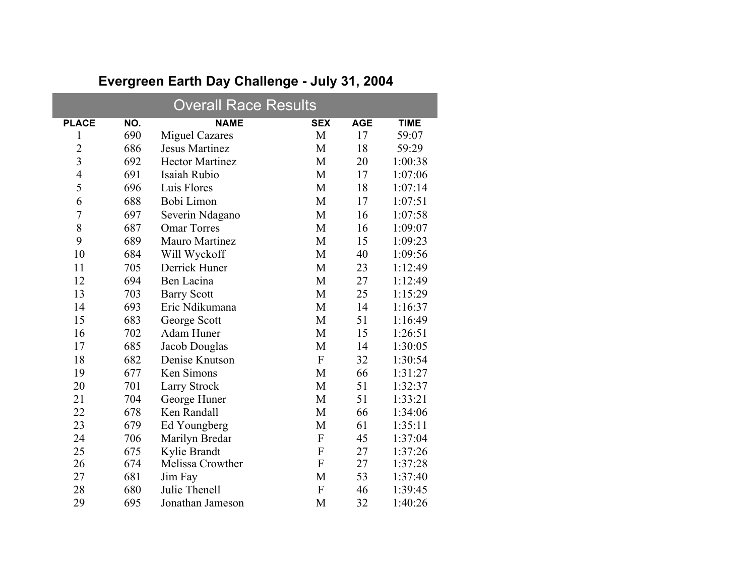| <b>Overall Race Results</b> |     |                        |                           |            |             |  |  |
|-----------------------------|-----|------------------------|---------------------------|------------|-------------|--|--|
| <b>PLACE</b>                | NO. | <b>NAME</b>            | <b>SEX</b>                | <b>AGE</b> | <b>TIME</b> |  |  |
| 1                           | 690 | <b>Miguel Cazares</b>  | M                         | 17         | 59:07       |  |  |
| $\overline{2}$              | 686 | <b>Jesus Martinez</b>  | M                         | 18         | 59:29       |  |  |
| $\overline{3}$              | 692 | <b>Hector Martinez</b> | M                         | 20         | 1:00:38     |  |  |
| $\overline{4}$              | 691 | Isaiah Rubio           | M                         | 17         | 1:07:06     |  |  |
| 5                           | 696 | Luis Flores            | M                         | 18         | 1:07:14     |  |  |
| 6                           | 688 | Bobi Limon             | M                         | 17         | 1:07:51     |  |  |
| $\overline{7}$              | 697 | Severin Ndagano        | M                         | 16         | 1:07:58     |  |  |
| 8                           | 687 | <b>Omar Torres</b>     | M                         | 16         | 1:09:07     |  |  |
| 9                           | 689 | <b>Mauro Martinez</b>  | M                         | 15         | 1:09:23     |  |  |
| 10                          | 684 | Will Wyckoff           | M                         | 40         | 1:09:56     |  |  |
| 11                          | 705 | Derrick Huner          | M                         | 23         | 1:12:49     |  |  |
| 12                          | 694 | Ben Lacina             | M                         | 27         | 1:12:49     |  |  |
| 13                          | 703 | <b>Barry Scott</b>     | M                         | 25         | 1:15:29     |  |  |
| 14                          | 693 | Eric Ndikumana         | M                         | 14         | 1:16:37     |  |  |
| 15                          | 683 | George Scott           | M                         | 51         | 1:16:49     |  |  |
| 16                          | 702 | Adam Huner             | M                         | 15         | 1:26:51     |  |  |
| 17                          | 685 | Jacob Douglas          | M                         | 14         | 1:30:05     |  |  |
| 18                          | 682 | Denise Knutson         | $\boldsymbol{\mathrm{F}}$ | 32         | 1:30:54     |  |  |
| 19                          | 677 | Ken Simons             | M                         | 66         | 1:31:27     |  |  |
| 20                          | 701 | <b>Larry Strock</b>    | M                         | 51         | 1:32:37     |  |  |
| 21                          | 704 | George Huner           | M                         | 51         | 1:33:21     |  |  |
| 22                          | 678 | Ken Randall            | M                         | 66         | 1:34:06     |  |  |
| 23                          | 679 | Ed Youngberg           | M                         | 61         | 1:35:11     |  |  |
| 24                          | 706 | Marilyn Bredar         | ${\bf F}$                 | 45         | 1:37:04     |  |  |
| 25                          | 675 | Kylie Brandt           | $\boldsymbol{F}$          | 27         | 1:37:26     |  |  |
| 26                          | 674 | Melissa Crowther       | $\mathbf{F}$              | 27         | 1:37:28     |  |  |
| 27                          | 681 | Jim Fay                | M                         | 53         | 1:37:40     |  |  |
| 28                          | 680 | Julie Thenell          | ${\bf F}$                 | 46         | 1:39:45     |  |  |
| 29                          | 695 | Jonathan Jameson       | M                         | 32         | 1:40:26     |  |  |

## **Evergreen Earth Day Challenge - July 31, 2004**